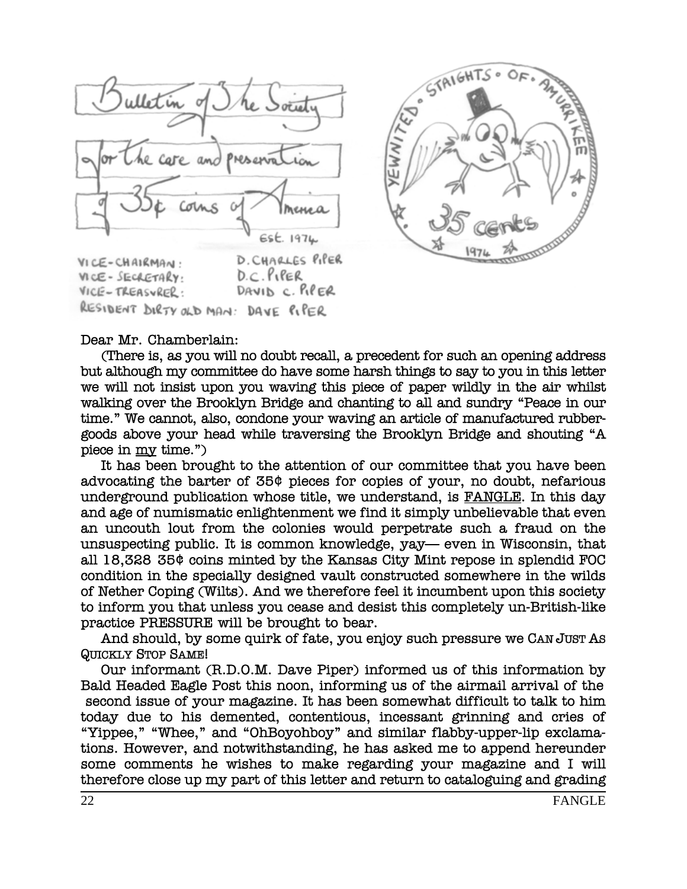

RESIDENT DIRTY OLD MAN: DAVE PIPER



## Dear Mr. Chamberlain:

VICE-TREASURER:

(There is, as you will no doubt recall, a precedent for such an opening address but although my committee do have some harsh things to say to you in this letter we will not insist upon you waving this piece of paper wildly in the air whilst walking over the Brooklyn Bridge and chanting to all and sundry "Peace in our time." We cannot, also, condone your waving an article of manufactured rubbergoods above your head while traversing the Brooklyn Bridge and shouting "A piece in my time.")

It has been brought to the attention of our committee that you have been advocating the barter of 35¢ pieces for copies of your, no doubt, nefarious underground publication whose title, we understand, is FANGLE. In this day and age of numismatic enlightenment we find it simply unbelievable that even an uncouth lout from the colonies would perpetrate such a fraud on the unsuspecting public. It is common knowledge, yay— even in Wisconsin, that all 18,328 35¢ coins minted by the Kansas City Mint repose in splendid FOC condition in the specially designed vault constructed somewhere in the wilds of Nether Coping (Wilts). And we therefore feel it incumbent upon this society to inform you that unless you cease and desist this completely un-British-like practice PRESSURE will be brought to bear.

And should, by some quirk of fate, you enjoy such pressure we CAN JUST AS **QUICKLY STOP SAME!** 

Our informant (R.D.O.M. Dave Piper) informed us of this information by Bald Headed Eagle Post this noon, informing us of the airmail arrival of the second issue of your magazine. It has been somewhat difficult to talk to him today due to his demented, contentious, incessant grinning and cries of "Yippee," "Whee," and "OhBoyohboy" and similar flabby-upper-lip exclamations. However, and notwithstanding, he has asked me to append hereunder some comments he wishes to make regarding your magazine and I will therefore close up my part of this letter and return to cataloguing and grading